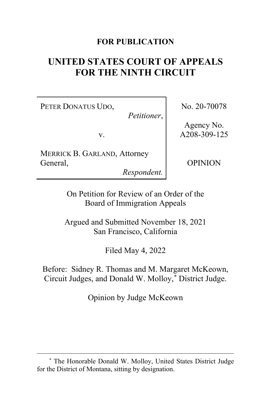#### **FOR PUBLICATION**

# **UNITED STATES COURT OF APPEALS FOR THE NINTH CIRCUIT**

PETER DONATUS UDO,

*Petitioner*,

v.

MERRICK B. GARLAND, Attorney General,

*Respondent.*

No. 20-70078

Agency No. A208-309-125

OPINION

On Petition for Review of an Order of the Board of Immigration Appeals

Argued and Submitted November 18, 2021 San Francisco, California

Filed May 4, 2022

Before: Sidney R. Thomas and M. Margaret McKeown, Circuit Judges, and Donald W. Molloy,**[\\*](#page-0-0)** District Judge.

Opinion by Judge McKeown

<span id="page-0-0"></span>**<sup>\*</sup>** The Honorable Donald W. Molloy, United States District Judge for the District of Montana, sitting by designation.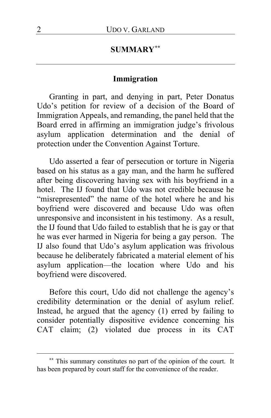## **SUMMARY[\\*\\*](#page-1-0)**

#### **Immigration**

Granting in part, and denying in part, Peter Donatus Udo's petition for review of a decision of the Board of Immigration Appeals, and remanding, the panel held that the Board erred in affirming an immigration judge's frivolous asylum application determination and the denial of protection under the Convention Against Torture.

Udo asserted a fear of persecution or torture in Nigeria based on his status as a gay man, and the harm he suffered after being discovering having sex with his boyfriend in a hotel. The IJ found that Udo was not credible because he "misrepresented" the name of the hotel where he and his boyfriend were discovered and because Udo was often unresponsive and inconsistent in his testimony. As a result, the IJ found that Udo failed to establish that he is gay or that he was ever harmed in Nigeria for being a gay person. The IJ also found that Udo's asylum application was frivolous because he deliberately fabricated a material element of his asylum application—the location where Udo and his boyfriend were discovered.

Before this court, Udo did not challenge the agency's credibility determination or the denial of asylum relief. Instead, he argued that the agency (1) erred by failing to consider potentially dispositive evidence concerning his CAT claim; (2) violated due process in its CAT

<span id="page-1-0"></span>**<sup>\*\*</sup>** This summary constitutes no part of the opinion of the court. It has been prepared by court staff for the convenience of the reader.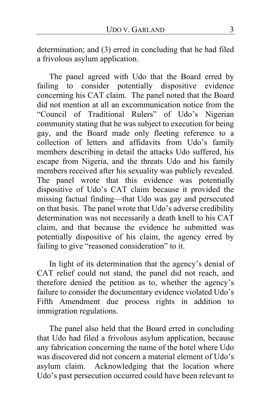determination; and (3) erred in concluding that he had filed a frivolous asylum application.

The panel agreed with Udo that the Board erred by failing to consider potentially dispositive evidence concerning his CAT claim. The panel noted that the Board did not mention at all an excommunication notice from the "Council of Traditional Rulers" of Udo's Nigerian community stating that he was subject to execution for being gay, and the Board made only fleeting reference to a collection of letters and affidavits from Udo's family members describing in detail the attacks Udo suffered, his escape from Nigeria, and the threats Udo and his family members received after his sexuality was publicly revealed. The panel wrote that this evidence was potentially dispositive of Udo's CAT claim because it provided the missing factual finding—that Udo was gay and persecuted on that basis. The panel wrote that Udo's adverse credibility determination was not necessarily a death knell to his CAT claim, and that because the evidence he submitted was potentially dispositive of his claim, the agency erred by failing to give "reasoned consideration" to it.

In light of its determination that the agency's denial of CAT relief could not stand, the panel did not reach, and therefore denied the petition as to, whether the agency's failure to consider the documentary evidence violated Udo's Fifth Amendment due process rights in addition to immigration regulations.

The panel also held that the Board erred in concluding that Udo had filed a frivolous asylum application, because any fabrication concerning the name of the hotel where Udo was discovered did not concern a material element of Udo's asylum claim. Acknowledging that the location where Udo's past persecution occurred could have been relevant to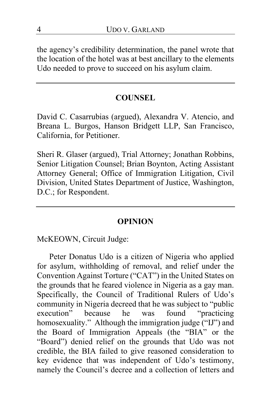the agency's credibility determination, the panel wrote that the location of the hotel was at best ancillary to the elements Udo needed to prove to succeed on his asylum claim.

#### **COUNSEL**

David C. Casarrubias (argued), Alexandra V. Atencio, and Breana L. Burgos, Hanson Bridgett LLP, San Francisco, California, for Petitioner.

Sheri R. Glaser (argued), Trial Attorney; Jonathan Robbins, Senior Litigation Counsel; Brian Boynton, Acting Assistant Attorney General; Office of Immigration Litigation, Civil Division, United States Department of Justice, Washington, D.C.; for Respondent.

#### **OPINION**

McKEOWN, Circuit Judge:

Peter Donatus Udo is a citizen of Nigeria who applied for asylum, withholding of removal, and relief under the Convention Against Torture ("CAT") in the United States on the grounds that he feared violence in Nigeria as a gay man. Specifically, the Council of Traditional Rulers of Udo's community in Nigeria decreed that he was subject to "public<br>execution" because he was found "practicing because he was found "practicing" homosexuality." Although the immigration judge ("IJ") and the Board of Immigration Appeals (the "BIA" or the "Board") denied relief on the grounds that Udo was not credible, the BIA failed to give reasoned consideration to key evidence that was independent of Udo's testimony, namely the Council's decree and a collection of letters and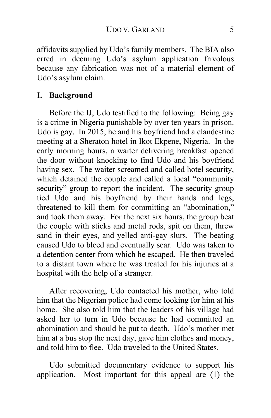affidavits supplied by Udo's family members. The BIA also erred in deeming Udo's asylum application frivolous because any fabrication was not of a material element of Udo's asylum claim.

## **I. Background**

Before the IJ, Udo testified to the following: Being gay is a crime in Nigeria punishable by over ten years in prison. Udo is gay. In 2015, he and his boyfriend had a clandestine meeting at a Sheraton hotel in Ikot Ekpene, Nigeria. In the early morning hours, a waiter delivering breakfast opened the door without knocking to find Udo and his boyfriend having sex. The waiter screamed and called hotel security, which detained the couple and called a local "community security" group to report the incident. The security group tied Udo and his boyfriend by their hands and legs, threatened to kill them for committing an "abomination," and took them away. For the next six hours, the group beat the couple with sticks and metal rods, spit on them, threw sand in their eyes, and yelled anti-gay slurs. The beating caused Udo to bleed and eventually scar. Udo was taken to a detention center from which he escaped. He then traveled to a distant town where he was treated for his injuries at a hospital with the help of a stranger.

After recovering, Udo contacted his mother, who told him that the Nigerian police had come looking for him at his home. She also told him that the leaders of his village had asked her to turn in Udo because he had committed an abomination and should be put to death. Udo's mother met him at a bus stop the next day, gave him clothes and money, and told him to flee. Udo traveled to the United States.

Udo submitted documentary evidence to support his application. Most important for this appeal are (1) the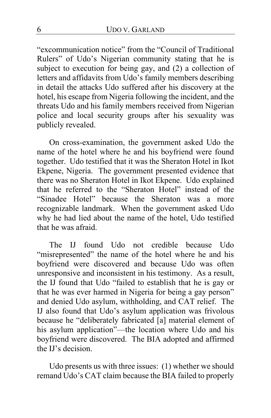"excommunication notice" from the "Council of Traditional Rulers" of Udo's Nigerian community stating that he is subject to execution for being gay, and (2) a collection of letters and affidavits from Udo's family members describing in detail the attacks Udo suffered after his discovery at the hotel, his escape from Nigeria following the incident, and the threats Udo and his family members received from Nigerian police and local security groups after his sexuality was publicly revealed.

On cross-examination, the government asked Udo the name of the hotel where he and his boyfriend were found together. Udo testified that it was the Sheraton Hotel in Ikot Ekpene, Nigeria. The government presented evidence that there was no Sheraton Hotel in Ikot Ekpene. Udo explained that he referred to the "Sheraton Hotel" instead of the "Sinadee Hotel" because the Sheraton was a more recognizable landmark. When the government asked Udo why he had lied about the name of the hotel, Udo testified that he was afraid.

The IJ found Udo not credible because Udo "misrepresented" the name of the hotel where he and his boyfriend were discovered and because Udo was often unresponsive and inconsistent in his testimony. As a result, the IJ found that Udo "failed to establish that he is gay or that he was ever harmed in Nigeria for being a gay person" and denied Udo asylum, withholding, and CAT relief. The IJ also found that Udo's asylum application was frivolous because he "deliberately fabricated [a] material element of his asylum application"—the location where Udo and his boyfriend were discovered. The BIA adopted and affirmed the IJ's decision.

Udo presents us with three issues: (1) whether we should remand Udo's CAT claim because the BIA failed to properly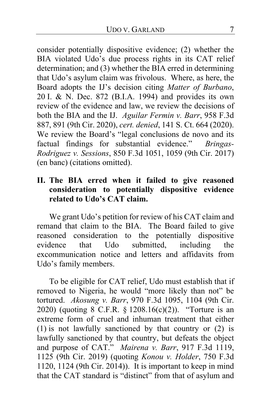consider potentially dispositive evidence; (2) whether the BIA violated Udo's due process rights in its CAT relief determination; and (3) whether the BIA erred in determining that Udo's asylum claim was frivolous. Where, as here, the Board adopts the IJ's decision citing *Matter of Burbano*, 20 I. & N. Dec. 872 (B.I.A. 1994) and provides its own review of the evidence and law, we review the decisions of both the BIA and the IJ. *Aguilar Fermin v. Barr*, 958 F.3d 887, 891 (9th Cir. 2020), *cert. denied*, 141 S. Ct. 664 (2020). We review the Board's "legal conclusions de novo and its factual findings for substantial evidence." *Bringas-Rodriguez v. Sessions*, 850 F.3d 1051, 1059 (9th Cir. 2017) (en banc) (citations omitted).

## **II. The BIA erred when it failed to give reasoned consideration to potentially dispositive evidence related to Udo's CAT claim.**

We grant Udo's petition for review of his CAT claim and remand that claim to the BIA. The Board failed to give reasoned consideration to the potentially dispositive<br>evidence that Udo submitted, including the evidence that Udo submitted, including the excommunication notice and letters and affidavits from Udo's family members.

To be eligible for CAT relief, Udo must establish that if removed to Nigeria, he would "more likely than not" be tortured. *Akosung v. Barr*, 970 F.3d 1095, 1104 (9th Cir. 2020) (quoting 8 C.F.R. § 1208.16(c)(2)). "Torture is an extreme form of cruel and inhuman treatment that either (1) is not lawfully sanctioned by that country or (2) is lawfully sanctioned by that country, but defeats the object and purpose of CAT." *Mairena v. Barr*, 917 F.3d 1119, 1125 (9th Cir. 2019) (quoting *Konou v. Holder*, 750 F.3d 1120, 1124 (9th Cir. 2014)). It is important to keep in mind that the CAT standard is "distinct" from that of asylum and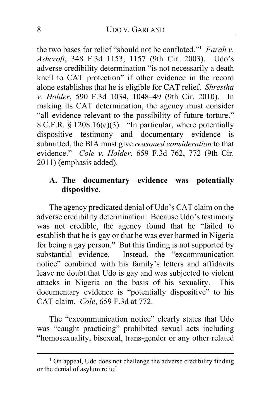the two bases for relief "should not be conflated."**[1](#page-7-0)** *Farah v. Ashcroft*, 348 F.3d 1153, 1157 (9th Cir. 2003). Udo's adverse credibility determination "is not necessarily a death knell to CAT protection" if other evidence in the record alone establishes that he is eligible for CAT relief. *Shrestha v. Holder*, 590 F.3d 1034, 1048–49 (9th Cir. 2010). In making its CAT determination, the agency must consider "all evidence relevant to the possibility of future torture." 8 C.F.R. § 1208.16(c)(3). "In particular, where potentially dispositive testimony and documentary evidence is submitted, the BIA must give *reasoned consideration* to that evidence." *Cole v. Holder*, 659 F.3d 762, 772 (9th Cir. 2011) (emphasis added).

## **A. The documentary evidence was potentially dispositive.**

The agency predicated denial of Udo's CAT claim on the adverse credibility determination: Because Udo's testimony was not credible, the agency found that he "failed to establish that he is gay or that he was ever harmed in Nigeria for being a gay person." But this finding is not supported by substantial evidence. Instead, the "excommunication" notice" combined with his family's letters and affidavits leave no doubt that Udo is gay and was subjected to violent attacks in Nigeria on the basis of his sexuality. This documentary evidence is "potentially dispositive" to his CAT claim. *Cole*, 659 F.3d at 772.

The "excommunication notice" clearly states that Udo was "caught practicing" prohibited sexual acts including "homosexuality, bisexual, trans-gender or any other related

<span id="page-7-0"></span><sup>&</sup>lt;sup>1</sup> On appeal, Udo does not challenge the adverse credibility finding or the denial of asylum relief.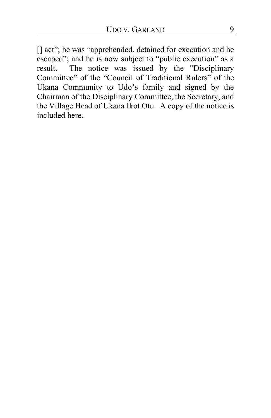[] act"; he was "apprehended, detained for execution and he escaped"; and he is now subject to "public execution" as a result. The notice was issued by the "Disciplinary Committee" of the "Council of Traditional Rulers" of the Ukana Community to Udo's family and signed by the Chairman of the Disciplinary Committee, the Secretary, and the Village Head of Ukana Ikot Otu. A copy of the notice is included here.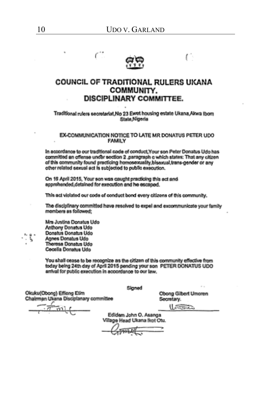

ť

#### COUNCIL OF TRADITIONAL RULERS UKANA **COMMUNITY. DISCIPLINARY COMMITTEE.**

Traditional rulers secretariat, No 23 Ewet housing estate Ukana, Akwa Ibom State Nigeria

#### EX-COMMUNICATION NOTICE TO LATE MR DONATUS PETER UDO **FAMILY**

In accordance to our traditional code of conduct, Your son Peter Donatus Udo has committed an offense under section 2, paragraph c which states: That any citizen of this community found practicing homosexuality, bisexual, trans-gender or any other related sexual act is subjected to public execution.

On 16 April 2015, Your son was caught practicing this act and approhended, detained for execution and he escaped.

This act violated our code of conduct bond every citizens of this community.

The disciplinary committed have resolved to expel and excommunicate your family mombers as followed:

Mrs Justina Donatus Udo Anthony Donatus Udo Donatus Donatus Udo Agnes Donatus Udo Theresa Donatus Udo Cecella Donatus Udo

You shall cease to be recognize as the citizen of this community effective from today being 24th day of April 2015 pending your son PETER DONATUS UDO arrival for public execution in accordance to our law.

Okuku(Obong) Effiong Etim Chalrman Ukana Disciplanary committee Signed

Obong Gilbert Umoren Secretary.

r.

متعقدا

Edidem John O. Asanga Village Head Ukana Ikot Otu.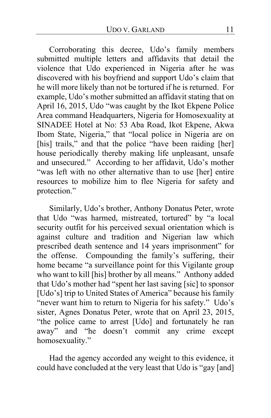Corroborating this decree, Udo's family members submitted multiple letters and affidavits that detail the violence that Udo experienced in Nigeria after he was discovered with his boyfriend and support Udo's claim that he will more likely than not be tortured if he is returned. For example, Udo's mother submitted an affidavit stating that on April 16, 2015, Udo "was caught by the Ikot Ekpene Police Area command Headquarters, Nigeria for Homosexuality at SINADEE Hotel at No: 53 Aba Road, Ikot Ekpene, Akwa Ibom State, Nigeria," that "local police in Nigeria are on [his] trails," and that the police "have been raiding [her] house periodically thereby making life unpleasant, unsafe and unsecured." According to her affidavit, Udo's mother "was left with no other alternative than to use [her] entire resources to mobilize him to flee Nigeria for safety and protection."

Similarly, Udo's brother, Anthony Donatus Peter, wrote that Udo "was harmed, mistreated, tortured" by "a local security outfit for his perceived sexual orientation which is against culture and tradition and Nigerian law which prescribed death sentence and 14 years imprisonment" for the offense. Compounding the family's suffering, their home became "a surveillance point for this Vigilante group who want to kill [his] brother by all means." Anthony added that Udo's mother had "spent her last saving [sic] to sponsor [Udo's] trip to United States of America" because his family "never want him to return to Nigeria for his safety." Udo's sister, Agnes Donatus Peter, wrote that on April 23, 2015, "the police came to arrest [Udo] and fortunately he ran away" and "he doesn't commit any crime except homosexuality."

Had the agency accorded any weight to this evidence, it could have concluded at the very least that Udo is "gay [and]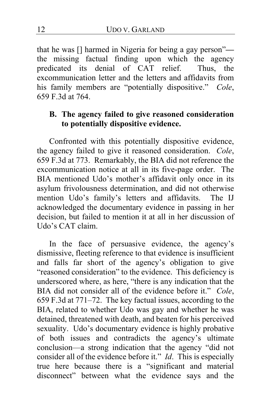that he was [] harmed in Nigeria for being a gay person" the missing factual finding upon which the agency predicated its denial of CAT relief. Thus, the excommunication letter and the letters and affidavits from his family members are "potentially dispositive." *Cole*, 659 F.3d at 764.

## **B. The agency failed to give reasoned consideration to potentially dispositive evidence.**

Confronted with this potentially dispositive evidence, the agency failed to give it reasoned consideration. *Cole*, 659 F.3d at 773. Remarkably, the BIA did not reference the excommunication notice at all in its five-page order. The BIA mentioned Udo's mother's affidavit only once in its asylum frivolousness determination, and did not otherwise mention Udo's family's letters and affidavits. The IJ acknowledged the documentary evidence in passing in her decision, but failed to mention it at all in her discussion of Udo's CAT claim.

In the face of persuasive evidence, the agency's dismissive, fleeting reference to that evidence is insufficient and falls far short of the agency's obligation to give "reasoned consideration" to the evidence. This deficiency is underscored where, as here, "there is any indication that the BIA did not consider all of the evidence before it." *Cole*, 659 F.3d at 771–72. The key factual issues, according to the BIA, related to whether Udo was gay and whether he was detained, threatened with death, and beaten for his perceived sexuality. Udo's documentary evidence is highly probative of both issues and contradicts the agency's ultimate conclusion—a strong indication that the agency "did not consider all of the evidence before it." *Id*. This is especially true here because there is a "significant and material disconnect" between what the evidence says and the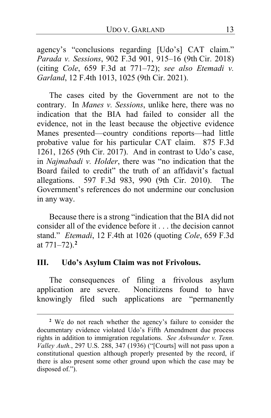agency's "conclusions regarding [Udo's] CAT claim." *Parada v. Sessions*, 902 F.3d 901, 915–16 (9th Cir. 2018) (citing *Cole*, 659 F.3d at 771–72); *see also Etemadi v. Garland*, 12 F.4th 1013, 1025 (9th Cir. 2021).

The cases cited by the Government are not to the contrary. In *Manes v. Sessions*, unlike here, there was no indication that the BIA had failed to consider all the evidence, not in the least because the objective evidence Manes presented—country conditions reports—had little probative value for his particular CAT claim. 875 F.3d 1261, 1265 (9th Cir. 2017). And in contrast to Udo's case, in *Najmabadi v. Holder*, there was "no indication that the Board failed to credit" the truth of an affidavit's factual allegations. 597 F.3d 983, 990 (9th Cir. 2010). The Government's references do not undermine our conclusion in any way.

Because there is a strong "indication that the BIA did not consider all of the evidence before it . . . the decision cannot stand." *Etemadi*, 12 F.4th at 1026 (quoting *Cole*, 659 F.3d at 771–72).**[2](#page-12-0)**

#### **III. Udo's Asylum Claim was not Frivolous.**

The consequences of filing a frivolous asylum application are severe. Noncitizens found to have knowingly filed such applications are "permanently

<span id="page-12-0"></span>**<sup>2</sup>** We do not reach whether the agency's failure to consider the documentary evidence violated Udo's Fifth Amendment due process rights in addition to immigration regulations. *See Ashwander v. Tenn. Valley Auth.*, 297 U.S. 288, 347 (1936) ("[Courts] will not pass upon a constitutional question although properly presented by the record, if there is also present some other ground upon which the case may be disposed of.").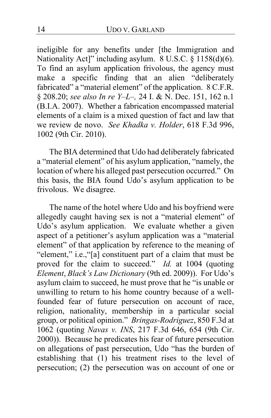ineligible for any benefits under [the Immigration and Nationality Act]" including asylum. 8 U.S.C. § 1158(d)(6). To find an asylum application frivolous, the agency must make a specific finding that an alien "deliberately fabricated" a "material element" of the application. 8 C.F.R. § 208.20; *see also In re Y–L–,* 24 I. & N. Dec. 151, 162 n.1 (B.I.A. 2007). Whether a fabrication encompassed material elements of a claim is a mixed question of fact and law that we review de novo. *See Khadka v. Holder*, 618 F.3d 996, 1002 (9th Cir. 2010).

The BIA determined that Udo had deliberately fabricated a "material element" of his asylum application, "namely, the location of where his alleged past persecution occurred." On this basis, the BIA found Udo's asylum application to be frivolous. We disagree.

The name of the hotel where Udo and his boyfriend were allegedly caught having sex is not a "material element" of Udo's asylum application. We evaluate whether a given aspect of a petitioner's asylum application was a "material element" of that application by reference to the meaning of "element," i.e.,"[a] constituent part of a claim that must be proved for the claim to succeed." *Id.* at 1004 (quoting *Element*, *Black's Law Dictionary* (9th ed. 2009)).For Udo's asylum claim to succeed, he must prove that he "is unable or unwilling to return to his home country because of a wellfounded fear of future persecution on account of race, religion, nationality, membership in a particular social group, or political opinion." *Bringas-Rodriguez*, 850 F.3d at 1062 (quoting *Navas v. INS*, 217 F.3d 646, 654 (9th Cir. 2000)). Because he predicates his fear of future persecution on allegations of past persecution, Udo "has the burden of establishing that (1) his treatment rises to the level of persecution; (2) the persecution was on account of one or